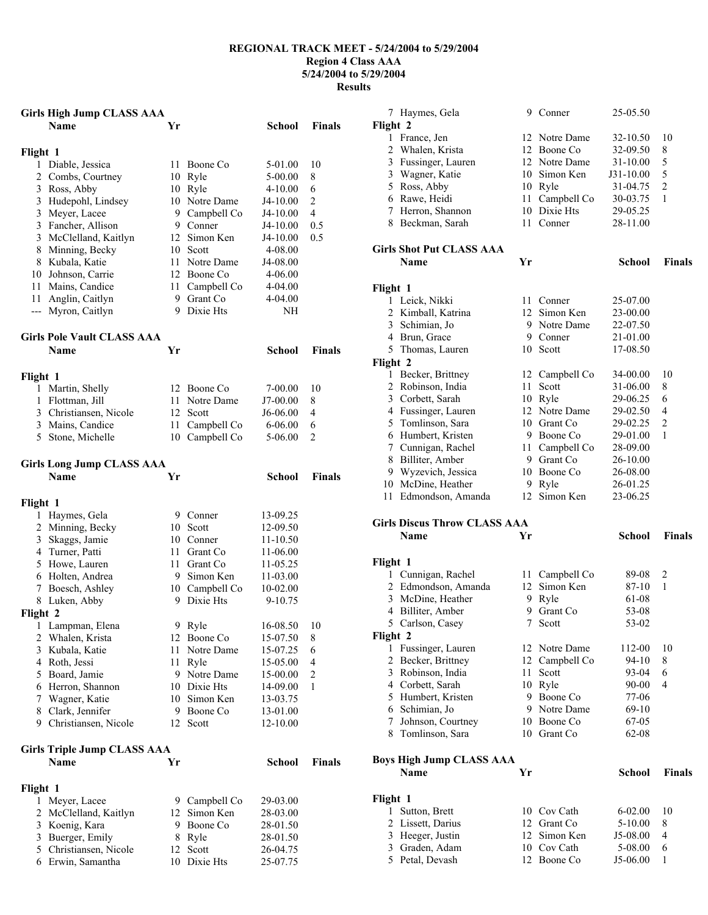## **REGIONAL TRACK MEET - 5/24/2004 to 5/29/2004 Region 4 Class AAA 5/24/2004 to 5/29/2004 Results**

|          | <b>Girls High Jump CLASS AAA</b>                 |    |                           |                        |                     |
|----------|--------------------------------------------------|----|---------------------------|------------------------|---------------------|
|          | <b>Name</b>                                      | Yr |                           | School                 | <b>Finals</b>       |
|          |                                                  |    |                           |                        |                     |
| Flight 1 | 1 Diable, Jessica                                | 11 |                           |                        | 10                  |
|          | 2 Combs, Courtney                                |    | Boone Co<br>10 Ryle       | 5-01.00                | 8                   |
|          |                                                  |    |                           | 5-00.00<br>$4 - 10.00$ |                     |
|          | 3 Ross, Abby                                     | 10 | Ryle                      |                        | 6                   |
|          | 3 Hudepohl, Lindsey                              | 10 | Notre Dame                | J4-10.00               | 2<br>$\overline{4}$ |
|          | 3 Meyer, Lacee                                   |    | 9 Campbell Co<br>9 Conner | J4-10.00               | 0.5                 |
|          | 3 Fancher, Allison<br>3 McClelland, Kaitlyn      |    | 12 Simon Ken              | J4-10.00<br>J4-10.00   | 0.5                 |
|          | 8 Minning, Becky                                 |    | 10 Scott                  | 4-08.00                |                     |
|          | 8 Kubala, Katie                                  | 11 | Notre Dame                | J4-08.00               |                     |
|          | 10 Johnson, Carrie                               |    | 12 Boone Co               | 4-06.00                |                     |
|          | 11 Mains, Candice                                |    | 11 Campbell Co            | 4-04.00                |                     |
|          | 11 Anglin, Caitlyn                               |    | 9 Grant Co                | 4-04.00                |                     |
| ---      | Myron, Caitlyn                                   |    | 9 Dixie Hts               | NΗ                     |                     |
|          |                                                  |    |                           |                        |                     |
|          | <b>Girls Pole Vault CLASS AAA</b><br><b>Name</b> | Yr |                           | <b>School</b>          | <b>Finals</b>       |
|          |                                                  |    |                           |                        |                     |
| Flight 1 |                                                  |    |                           |                        |                     |
|          | 1 Martin, Shelly                                 |    | 12 Boone Co               | 7-00.00                | 10                  |
|          | 1 Flottman, Jill                                 | 11 | Notre Dame                | J7-00.00               | 8                   |
|          | 3 Christiansen, Nicole                           |    | 12 Scott                  | J6-06.00               | 4                   |
|          | 3 Mains, Candice                                 | 11 | Campbell Co               | 6-06.00                | 6                   |
|          | 5 Stone, Michelle                                | 10 | Campbell Co               | 5-06.00                | 2                   |
|          | <b>Girls Long Jump CLASS AAA</b>                 |    |                           |                        |                     |
|          | <b>Name</b>                                      | Yr |                           | <b>School</b>          | <b>Finals</b>       |
| Flight 1 |                                                  |    |                           |                        |                     |
|          | 1 Haymes, Gela                                   |    | 9 Conner                  | 13-09.25               |                     |
|          | 2 Minning, Becky                                 |    | 10 Scott                  | 12-09.50               |                     |
|          | 3 Skaggs, Jamie                                  |    | 10 Conner                 | 11-10.50               |                     |
|          | 4 Turner, Patti                                  |    | 11 Grant Co               | 11-06.00               |                     |
|          | 5 Howe, Lauren                                   |    | 11 Grant Co               | 11-05.25               |                     |
|          | 6 Holten, Andrea                                 |    | 9 Simon Ken               | 11-03.00               |                     |
|          | 7 Boesch, Ashley                                 |    | 10 Campbell Co            | 10-02.00               |                     |
|          | 8 Luken, Abby                                    |    | 9 Dixie Hts               | 9-10.75                |                     |
| Flight 2 |                                                  |    |                           |                        |                     |
|          | 1 Lampman, Elena                                 |    | 9 Ryle                    | 16-08.50               | 10                  |
| 2        | Whalen, Krista                                   |    | 12 Boone Co               | 15-07.50               | 8                   |
|          | 3 Kubala, Katie                                  | 11 | Notre Dame                | 15-07.25               | 6                   |
|          | 4 Roth, Jessi                                    |    | 11 Ryle                   | 15-05.00               | 4                   |
|          | 5 Board, Jamie                                   |    | 9 Notre Dame              | 15-00.00               | $\sqrt{2}$          |
|          | 6 Herron, Shannon                                |    | 10 Dixie Hts              | 14-09.00               | 1                   |
|          | 7 Wagner, Katie                                  |    | 10 Simon Ken              | 13-03.75               |                     |
|          | 8 Clark, Jennifer                                |    | 9 Boone Co                | 13-01.00               |                     |
|          | 9 Christiansen, Nicole                           |    | 12 Scott                  | 12-10.00               |                     |
|          | <b>Girls Triple Jump CLASS AAA</b>               |    |                           |                        |                     |
|          | <b>Name</b>                                      | Yr |                           | School                 | <b>Finals</b>       |
| Flight 1 |                                                  |    |                           |                        |                     |
| 1        | Meyer, Lacee                                     |    | 9 Campbell Co             | 29-03.00               |                     |
|          | 2 McClelland, Kaitlyn                            |    | 12 Simon Ken              | 28-03.00               |                     |
|          | 3 Koenig, Kara                                   |    | 9 Boone Co                | 28-01.50               |                     |
|          | 3 Buerger, Emily                                 |    | 8 Ryle                    | 28-01.50               |                     |
|          | 5 Christiansen, Nicole                           |    | 12 Scott                  | 26-04.75               |                     |
|          | 6 Erwin, Samantha                                |    | 10 Dixie Hts              | 25-07.75               |                     |

6 Erwin, Samantha

|          | 7 Haymes, Gela                          |            | 9 Conner                   | 25-05.50            |                |  |
|----------|-----------------------------------------|------------|----------------------------|---------------------|----------------|--|
| Flight 2 |                                         |            |                            |                     |                |  |
|          | 1 France, Jen                           |            | 12 Notre Dame              | 32-10.50            | 10             |  |
|          | 2 Whalen, Krista                        | 12         | Boone Co                   | 32-09.50            | 8              |  |
|          | 3 Fussinger, Lauren                     |            | 12 Notre Dame              | 31-10.00            | 5              |  |
|          | 3 Wagner, Katie                         |            | 10 Simon Ken               | J31-10.00           | 5              |  |
|          | 5 Ross, Abby                            | 10         | Ryle                       | 31-04.75            | $\overline{c}$ |  |
|          | 6 Rawe, Heidi                           | 11         | Campbell Co                | 30-03.75            | 1              |  |
| 7        | Herron, Shannon                         | 10         | Dixie Hts                  | 29-05.25            |                |  |
|          | 8 Beckman, Sarah                        | 11         | Conner                     | 28-11.00            |                |  |
|          | <b>Girls Shot Put CLASS AAA</b>         |            |                            |                     |                |  |
|          | Name                                    | Yr         |                            | <b>School</b>       | Finals         |  |
| Flight 1 |                                         |            |                            |                     |                |  |
|          | 1 Leick, Nikki                          | 11         | Conner                     | 25-07.00            |                |  |
|          | 2 Kimball, Katrina                      |            | 12 Simon Ken               | 23-00.00            |                |  |
|          | 3 Schimian, Jo                          | 9.         | Notre Dame                 | 22-07.50            |                |  |
|          | 4 Brun, Grace                           | 9          | Conner                     | 21-01.00            |                |  |
|          | 5 Thomas, Lauren                        |            | 10 Scott                   | 17-08.50            |                |  |
| Flight 2 |                                         |            |                            |                     |                |  |
| 1        | Becker, Brittney                        |            | 12 Campbell Co             | 34-00.00            | 10             |  |
|          | 2 Robinson, India                       | 11         | Scott                      | 31-06.00            | 8              |  |
|          | 3 Corbett, Sarah                        | 10         | Ryle                       | 29-06.25            | 6              |  |
|          | 4 Fussinger, Lauren                     | 12         | Notre Dame                 | 29-02.50            | 4              |  |
|          | 5 Tomlinson, Sara                       |            | 10 Grant Co                | 29-02.25            | $\overline{2}$ |  |
|          | 6 Humbert, Kristen                      | 9.         | Boone Co                   | 29-01.00            | 1              |  |
|          | 7 Cunnigan, Rachel                      | 11         | Campbell Co                | 28-09.00            |                |  |
|          | 8 Billiter, Amber                       |            | 9 Grant Co                 | 26-10.00            |                |  |
|          | 9 Wyzevich, Jessica                     |            | 10 Boone Co                | 26-08.00            |                |  |
|          | 10 McDine, Heather                      | 9          | Ryle                       | 26-01.25            |                |  |
|          | Edmondson, Amanda                       | 12         | Simon Ken                  | 23-06.25            |                |  |
| 11       |                                         |            |                            |                     |                |  |
|          | <b>Girls Discus Throw CLASS AAA</b>     |            |                            |                     |                |  |
|          | Name                                    | Yr         |                            | <b>School</b>       | <b>Finals</b>  |  |
|          |                                         |            |                            |                     |                |  |
| Flight 1 |                                         |            |                            |                     |                |  |
|          | 1 Cunnigan, Rachel                      | 11 -<br>12 | Campbell Co                | 89-08               | 2<br>1         |  |
|          | 2 Edmondson, Amanda                     |            | Simon Ken                  | 87-10               |                |  |
|          | 3 McDine, Heather                       | 9<br>9     | Ryle<br>Grant Co           | 61-08<br>53-08      |                |  |
|          | 4 Billiter, Amber                       |            |                            |                     |                |  |
|          | 5 Carlson, Casey                        |            | 7 Scott                    | 53-02               |                |  |
| Flight 2 |                                         |            |                            |                     |                |  |
| 1<br>2   | Fussinger, Lauren                       | 12<br>12   | Notre Dame                 | 112-00              | 10             |  |
|          | Becker, Brittney                        |            | Campbell Co                | 94-10               | 8              |  |
|          | 3 Robinson, India                       | 11         | Scott                      | 93-04               | 6              |  |
|          | 4 Corbett, Sarah                        | 10         | Ryle                       | 90-00               | 4              |  |
|          | 5 Humbert, Kristen                      | 9          | Boone Co                   | 77-06               |                |  |
|          | 6 Schimian, Jo                          | 9          | Notre Dame                 | $69-10$             |                |  |
| 7        | Johnson, Courtney<br>8 Tomlinson, Sara  |            | 10 Boone Co<br>10 Grant Co | 67-05<br>62-08      |                |  |
|          |                                         |            |                            |                     |                |  |
|          | <b>Boys High Jump CLASS AAA</b><br>Name | Yr         |                            | <b>School</b>       | <b>Finals</b>  |  |
|          |                                         |            |                            |                     |                |  |
| Flight 1 |                                         |            |                            |                     |                |  |
| 1        | Sutton, Brett                           |            | 10 Cov Cath                | $6 - 02.00$         | 10             |  |
| 2        | Lissett, Darius                         |            | 12 Grant Co                | 5-10.00             | 8              |  |
| 3        | Heeger, Justin                          | 12         | Simon Ken                  | J5-08.00            | 4              |  |
| 3        | Graden, Adam<br>5 Petal, Devash         | 12         | 10 Cov Cath<br>Boone Co    | 5-08.00<br>J5-06.00 | 6<br>1         |  |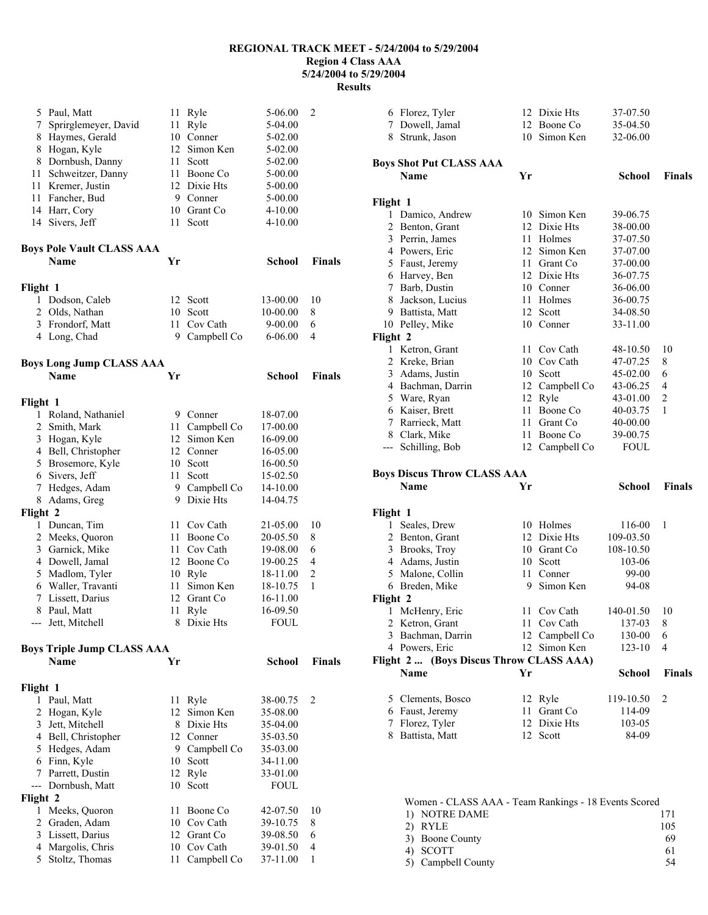## **REGIONAL TRACK MEET - 5/24/2004 to 5/29/2004 Region 4 Class AAA 5/24/2004 to 5/29/2004**

**Results** 

| 5            | Paul, Matt                                | 11       | Ryle                     | 5-06.00              | 2                   |
|--------------|-------------------------------------------|----------|--------------------------|----------------------|---------------------|
| 7            | Sprirglemeyer, David                      | 11       | Ryle                     | 5-04.00              |                     |
| 8            | Haymes, Gerald                            |          | 10 Conner                | 5-02.00              |                     |
| 8            | Hogan, Kyle                               |          | 12 Simon Ken             | 5-02.00              |                     |
| 8            | Dornbush, Danny                           |          | 11 Scott                 | 5-02.00              |                     |
| 11           | Schweitzer, Danny                         |          | 11 Boone Co              | 5-00.00              |                     |
| 11           | Kremer, Justin                            |          | 12 Dixie Hts             | 5-00.00              |                     |
| 11           | Fancher, Bud                              |          | 9 Conner                 | 5-00.00              |                     |
|              | 14 Harr, Cory                             |          | 10 Grant Co              | 4-10.00              |                     |
| 14           | Sivers, Jeff                              | 11       | Scott                    | $4 - 10.00$          |                     |
|              | <b>Boys Pole Vault CLASS AAA</b>          |          |                          |                      |                     |
|              | <b>Name</b>                               | Yr       |                          | <b>School</b>        | <b>Finals</b>       |
| Flight 1     |                                           |          |                          |                      |                     |
|              | 1 Dodson, Caleb                           |          | 12 Scott                 | 13-00.00             | 10                  |
| 2            | Olds, Nathan                              |          | 10 Scott                 | 10-00.00             | 8                   |
| 3            | Frondorf, Matt                            | 11 -     | Cov Cath                 | 9-00.00              | 6                   |
|              | 4 Long, Chad                              | 9.       | Campbell Co              | $6 - 06.00$          | 4                   |
|              | Boys Long Jump CLASS AAA                  |          |                          |                      |                     |
|              | <b>Name</b>                               | Yr       |                          | <b>School</b>        | <b>Finals</b>       |
| Flight 1     |                                           |          |                          |                      |                     |
| $\mathbf{1}$ | Roland, Nathaniel                         |          | 9 Conner                 | 18-07.00             |                     |
| 2            | Smith, Mark                               |          | 11 Campbell Co           | 17-00.00             |                     |
| 3            | Hogan, Kyle                               |          | 12 Simon Ken             | 16-09.00             |                     |
|              | 4 Bell, Christopher                       |          | 12 Conner                | 16-05.00             |                     |
| 5            | Brosemore, Kyle                           |          | 10 Scott                 | 16-00.50             |                     |
| 6            | Sivers, Jeff                              | 11       | Scott                    | 15-02.50             |                     |
| 7            | Hedges, Adam                              | 9.       | Campbell Co              | 14-10.00             |                     |
| 8            | Adams, Greg                               |          | 9 Dixie Hts              | 14-04.75             |                     |
| Flight 2     |                                           |          |                          |                      |                     |
|              | 1 Duncan, Tim                             | 11       | Cov Cath                 | 21-05.00             | 10                  |
| 2            | Meeks, Quoron                             |          | 11 Boone Co              | 20-05.50             | 8                   |
| 3            | Garnick, Mike                             |          | 11 Cov Cath              | 19-08.00             | 6                   |
|              | 4 Dowell, Jamal                           |          | 12 Boone Co              | 19-00.25             | 4                   |
| 5            | Madlom, Tyler                             | 11       | 10 Ryle                  | 18-11.00             | $\overline{c}$<br>1 |
| 7            | 6 Waller, Travanti<br>Lissett, Darius     |          | Simon Ken<br>12 Grant Co | 18-10.75<br>16-11.00 |                     |
| 8            | Paul, Matt                                | 11       | Ryle                     | 16-09.50             |                     |
|              | --- Jett, Mitchell                        |          | 8 Dixie Hts              | FOUL                 |                     |
|              |                                           |          |                          |                      |                     |
|              | <b>Boys Triple Jump CLASS AAA</b><br>Name | Yr       |                          | School               | <b>Finals</b>       |
|              |                                           |          |                          |                      |                     |
| Flight 1     |                                           |          |                          |                      |                     |
| 1            | Paul, Matt                                | 11       | Ryle                     | 38-00.75             | $\overline{c}$      |
| 2            | Hogan, Kyle                               |          | 12 Simon Ken             | 35-08.00             |                     |
| 3            | Jett, Mitchell                            |          | 8 Dixie Hts              | 35-04.00             |                     |
|              | 4 Bell, Christopher                       |          | 12 Conner                | 35-03.50             |                     |
| 5            | Hedges, Adam                              |          | 9 Campbell Co            | 35-03.00             |                     |
| 6<br>7       | Finn, Kyle<br>Parrett, Dustin             | 10<br>12 | Scott<br>Ryle            | 34-11.00<br>33-01.00 |                     |
| ---          | Dornbush, Matt                            | 10       | Scott                    | <b>FOUL</b>          |                     |
| Flight 2     |                                           |          |                          |                      |                     |
| 1            | Meeks, Quoron                             | 11       | Boone Co                 | 42-07.50             | 10                  |
| 2            | Graden, Adam                              |          | 10 Cov Cath              | 39-10.75             | 8                   |
| 3            | Lissett, Darius                           |          | 12 Grant Co              | 39-08.50             | 6                   |
| 4            | Margolis, Chris                           |          | 10 Cov Cath              | 39-01.50             | 4                   |
| 5            | Stoltz, Thomas                            | 11       | Campbell Co              | 37-11.00             | $\mathbf{1}$        |
|              |                                           |          |                          |                      |                     |

| 6 Florez, Tyler                                   |      | 12 Dixie Hts          | 37-07.50      |               |
|---------------------------------------------------|------|-----------------------|---------------|---------------|
| 7 Dowell, Jamal                                   |      | 12 Boone Co           | 35-04.50      |               |
| 8 Strunk, Jason                                   |      | 10 Simon Ken          | 32-06.00      |               |
|                                                   |      |                       |               |               |
| <b>Boys Shot Put CLASS AAA</b>                    |      |                       |               |               |
| <b>Name</b>                                       | Yr   |                       | School        | <b>Finals</b> |
|                                                   |      |                       |               |               |
| Flight 1                                          |      |                       |               |               |
| 1 Damico, Andrew                                  |      | 10 Simon Ken          | 39-06.75      |               |
| $\overline{2}$<br>Benton, Grant                   |      | 12 Dixie Hts          | 38-00.00      |               |
| 3 Perrin, James                                   |      | 11 Holmes             | 37-07.50      |               |
| 4 Powers, Eric                                    |      | 12 Simon Ken          | 37-07.00      |               |
| 5 Faust, Jeremy                                   |      | 11 Grant Co           | 37-00.00      |               |
| 6 Harvey, Ben                                     |      | 12 Dixie Hts          | 36-07.75      |               |
| Barb, Dustin<br>7                                 |      | 10 Conner             | 36-06.00      |               |
| Jackson, Lucius<br>8                              |      | 11 Holmes<br>12 Scott | 36-00.75      |               |
| 9 Battista, Matt                                  |      | 10 Conner             | 34-08.50      |               |
| 10 Pelley, Mike                                   |      |                       | 33-11.00      |               |
| Flight 2                                          |      |                       |               |               |
| 1 Ketron, Grant                                   | 11 - | Cov Cath              | 48-10.50      | 10            |
| 2 Kreke, Brian                                    |      | 10 Cov Cath           | 47-07.25      | 8             |
| 3 Adams, Justin                                   |      | 10 Scott              | 45-02.00      | 6             |
| 4 Bachman, Darrin                                 |      | 12 Campbell Co        | 43-06.25      | 4             |
| 5<br>Ware, Ryan                                   |      | 12 Ryle               | 43-01.00      | 2             |
| 6 Kaiser, Brett                                   | 11.  | Boone Co              | 40-03.75      | 1             |
| 7 Rarrieck, Matt                                  |      | 11 Grant Co           | 40-00.00      |               |
| 8 Clark, Mike<br>Schilling, Bob                   | 11   | Boone Co              | 39-00.75      |               |
| ---                                               |      | 12 Campbell Co        | <b>FOUL</b>   |               |
|                                                   |      |                       |               |               |
|                                                   |      |                       |               |               |
| <b>Boys Discus Throw CLASS AAA</b><br><b>Name</b> | Yr   |                       | School        | <b>Finals</b> |
|                                                   |      |                       |               |               |
| Flight 1                                          |      |                       |               |               |
| 1 Seales, Drew                                    |      | 10 Holmes             | 116-00        | 1             |
| 2 Benton, Grant                                   |      | 12 Dixie Hts          | 109-03.50     |               |
| 3 Brooks, Troy                                    |      | 10 Grant Co           | 108-10.50     |               |
| 4 Adams, Justin                                   |      | 10 Scott              | 103-06        |               |
| 5 Malone, Collin                                  |      | 11 Conner             | 99-00         |               |
| 6 Breden, Mike                                    | 9.   | Simon Ken             | 94-08         |               |
| Flight 2                                          |      |                       |               |               |
| McHenry, Eric<br>1                                | 11   | Cov Cath              | 140-01.50     | 10            |
| 2 Ketron, Grant                                   |      | 11 Cov Cath           | 137-03        | 8             |
| 3<br>Bachman, Darrin                              |      | 12 Campbell Co        | 130-00        | 6             |
| 4 Powers, Eric                                    | 12   | Simon Ken             | 123-10        | 4             |
| Flight 2  (Boys Discus Throw CLASS AAA)<br>Name   | Yr   |                       |               | <b>Finals</b> |
|                                                   |      |                       | <b>School</b> |               |
| 5 Clements, Bosco                                 |      | 12 Ryle               | 119-10.50     | 2             |
| 6 Faust, Jeremy                                   | 11   | Grant Co              | 114-09        |               |
| Florez, Tyler<br>7                                | 12   | Dixie Hts             | 103-05        |               |
| Battista, Matt<br>8                               |      | 12 Scott              | 84-09         |               |
|                                                   |      |                       |               |               |
|                                                   |      |                       |               |               |
|                                                   |      |                       |               |               |

| Women - CLASS AAA - Team Rankings - 18 Events Scored |
|------------------------------------------------------|
| 171                                                  |
| 105                                                  |
| 69                                                   |
| 61                                                   |
| 54                                                   |
|                                                      |